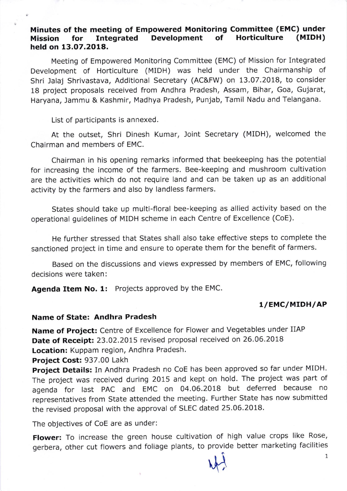## Minutes of the meeting of Empowered Monitoring Committee (EMC) under<br>Mission for Integrated Development of Horticulture (MIDH) Mission for Integrated Development held on 13.07.2018.

Meeting of Empowered Monitoring Committee (EMC) of Mission for Integrated Development of Horticulture (MIDH) was held under the Chairmanship of Shri Jalaj Shrivastava, Additional Secretary (AC&FW) on 13.07.2018, to consider 18 project proposals received from Andhra Pradesh, Assam, Bihar, Goa, Gujarat, Haryana, Jammu & Kashmir, Madhya Pradesh, Punjab, Tamil Nadu and Telangana.

List of participants is annexed.

At the outset, Shri Dinesh Kumar, Joint Secretary (MIDH), welcomed the Chairman and members of EMC.

Chairman in his opening remarks informed that beekeeping has the potential for increasing the income of the farmers. Bee-keeping and mushroom cultivation are the activities which do not require land and can be taken up as an additional activity by the farmers and also by landless farmers.

States should take up multi-floral bee-keeping as allied activity based on the operational guidelines of MIDH scheme in each Centre of Excellence (CoE).

He further stressed that States shall also take effective steps to complete the sanctioned project in time and ensure to operate them for the benefit of farmers.

Based on the discussions and views expressed by members of EMC, following decisions were taken:

Agenda Item No. 1: Projects approved by the EMC.

## 1/EMC/MIDH/AP

## Name of State: Andhra Pradesh

Name of Project: Centre of Excellence for Flower and Vegetables under IIAP Date of Receipt: 23.02.2015 revised proposal received on 26.06.2018 Location: Kuppam region, Andhra Pradesh.

Project Cost: 937.00 Lakh

Project Details: In Andhra Pradesh no CoE has been approved so far under MIDH. The project was received during 2015 and kept on hold. The project was part of agenda for last PAC and EMC on 04.06.2018 but deferred because no representatives from State attended the meeting. Further State has now submitted the revised proposal with the approval of SLEC dated 25.06.2018.

The objectives of CoE are as under:

Flower: To increase the green house cultivation of high value crops like Rose, gerbera, other cut flowers and foliage plants, to provide better marketing facilities

 $\hat{1}$   $\hat{1}$  $\mathcal{M}$